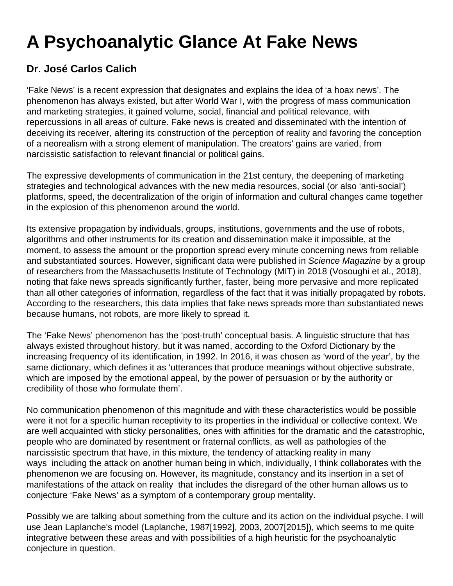## **A Psychoanalytic Glance At Fake News**

## **Dr. José Carlos Calich**

'Fake News' is a recent expression that designates and explains the idea of 'a hoax news'. The phenomenon has always existed, but after World War I, with the progress of mass communication and marketing strategies, it gained volume, social, financial and political relevance, with repercussions in all areas of culture. Fake news is created and disseminated with the intention of deceiving its receiver, altering its construction of the perception of reality and favoring the conception of a neorealism with a strong element of manipulation. The creators' gains are varied, from narcissistic satisfaction to relevant financial or political gains.

The expressive developments of communication in the 21st century, the deepening of marketing strategies and technological advances with the new media resources, social (or also 'anti-social') platforms, speed, the decentralization of the origin of information and cultural changes came together in the explosion of this phenomenon around the world.

Its extensive propagation by individuals, groups, institutions, governments and the use of robots, algorithms and other instruments for its creation and dissemination make it impossible, at the moment, to assess the amount or the proportion spread every minute concerning news from reliable and substantiated sources. However, significant data were published in Science Magazine by a group of researchers from the Massachusetts Institute of Technology (MIT) in 2018 (Vosoughi et al., 2018), noting that fake news spreads significantly further, faster, being more pervasive and more replicated than all other categories of information, regardless of the fact that it was initially propagated by robots. According to the researchers, this data implies that fake news spreads more than substantiated news because humans, not robots, are more likely to spread it.

The 'Fake News' phenomenon has the 'post-truth' conceptual basis. A linguistic structure that has always existed throughout history, but it was named, according to the Oxford Dictionary by the increasing frequency of its identification, in 1992. In 2016, it was chosen as 'word of the year', by the same dictionary, which defines it as 'utterances that produce meanings without objective substrate, which are imposed by the emotional appeal, by the power of persuasion or by the authority or credibility of those who formulate them'.

No communication phenomenon of this magnitude and with these characteristics would be possible were it not for a specific human receptivity to its properties in the individual or collective context. We are well acquainted with sticky personalities, ones with affinities for the dramatic and the catastrophic, people who are dominated by resentment or fraternal conflicts, as well as pathologies of the narcissistic spectrum that have, in this mixture, the tendency of attacking reality in many ways including the attack on another human being in which, individually, I think collaborates with the phenomenon we are focusing on. However, its magnitude, constancy and its insertion in a set of manifestations of the attack on reality that includes the disregard of the other human allows us to conjecture 'Fake News' as a symptom of a contemporary group mentality.

Possibly we are talking about something from the culture and its action on the individual psyche. I will use Jean Laplanche's model (Laplanche, 1987[1992], 2003, 2007[2015]), which seems to me quite integrative between these areas and with possibilities of a high heuristic for the psychoanalytic conjecture in question.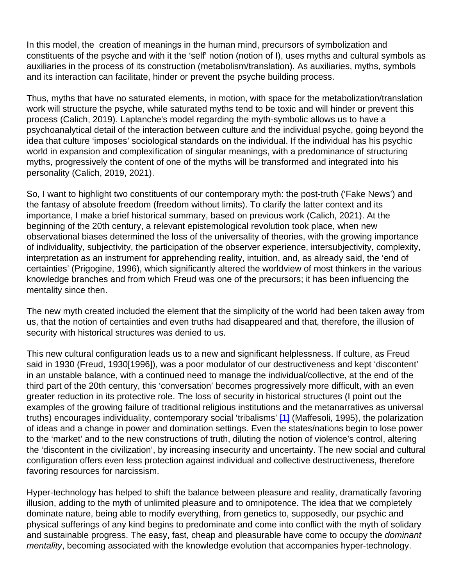In this model, the creation of meanings in the human mind, precursors of symbolization and constituents of the psyche and with it the 'self' notion (notion of I), uses myths and cultural symbols as auxiliaries in the process of its construction (metabolism/translation). As auxiliaries, myths, symbols and its interaction can facilitate, hinder or prevent the psyche building process.

Thus, myths that have no saturated elements, in motion, with space for the metabolization/translation work will structure the psyche, while saturated myths tend to be toxic and will hinder or prevent this process (Calich, 2019). Laplanche's model regarding the myth-symbolic allows us to have a psychoanalytical detail of the interaction between culture and the individual psyche, going beyond the idea that culture 'imposes' sociological standards on the individual. If the individual has his psychic world in expansion and complexification of singular meanings, with a predominance of structuring myths, progressively the content of one of the myths will be transformed and integrated into his personality (Calich, 2019, 2021).

So, I want to highlight two constituents of our contemporary myth: the post-truth ('Fake News') and the fantasy of absolute freedom (freedom without limits). To clarify the latter context and its importance, I make a brief historical summary, based on previous work (Calich, 2021). At the beginning of the 20th century, a relevant epistemological revolution took place, when new observational biases determined the loss of the universality of theories, with the growing importance of individuality, subjectivity, the participation of the observer experience, intersubjectivity, complexity, interpretation as an instrument for apprehending reality, intuition, and, as already said, the 'end of certainties' (Prigogine, 1996), which significantly altered the worldview of most thinkers in the various knowledge branches and from which Freud was one of the precursors; it has been influencing the mentality since then.

The new myth created included the element that the simplicity of the world had been taken away from us, that the notion of certainties and even truths had disappeared and that, therefore, the illusion of security with historical structures was denied to us.

This new cultural configuration leads us to a new and significant helplessness. If culture, as Freud said in 1930 (Freud, 1930[1996]), was a poor modulator of our destructiveness and kept 'discontent' in an unstable balance, with a continued need to manage the individual/collective, at the end of the third part of the 20th century, this 'conversation' becomes progressively more difficult, with an even greater reduction in its protective role. The loss of security in historical structures (I point out the examples of the growing failure of traditional religious institutions and the metanarratives as universal truths) encourages individuality, contemporary social 'tribalisms' [1] (Maffesoli, 1995), the polarization of ideas and a change in power and domination settings. Even the states/nations begin to lose power to the 'market' and to the new constructions of truth, diluting the notion of violence's control, altering the 'discontent in the civilization', by increasing insecurity and uncertainty. The new social and cultural configuration offers even less protection against individual and collective destructiveness, therefore favoring resources for narcissism.

Hyper-technology has helped to shift the balance between pleasure and reality, dramatically favoring illusion, adding to the myth of unlimited pleasure and to omnipotence. The idea that we completely dominate nature, being able to modify everything, from genetics to, supposedly, our psychic and physical sufferings of any kind begins to predominate and come into conflict with the myth of solidary and sustainable progress. The easy, fast, cheap and pleasurable have come to occupy the *dominant* mentality, becoming associated with the knowledge evolution that accompanies hyper-technology.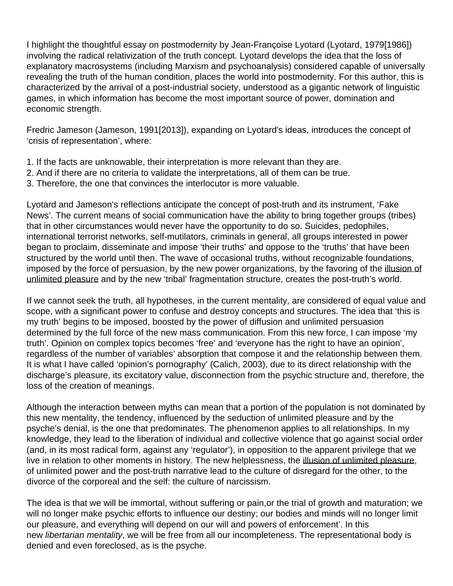I highlight the thoughtful essay on postmodernity by Jean-Françoise Lyotard (Lyotard, 1979[1986]) involving the radical relativization of the truth concept. Lyotard develops the idea that the loss of explanatory macrosystems (including Marxism and psychoanalysis) considered capable of universally revealing the truth of the human condition, places the world into postmodernity. For this author, this is characterized by the arrival of a post-industrial society, understood as a gigantic network of linguistic games, in which information has become the most important source of power, domination and economic strength.

Fredric Jameson (Jameson, 1991[2013]), expanding on Lyotard's ideas, introduces the concept of 'crisis of representation', where:

- 1. If the facts are unknowable, their interpretation is more relevant than they are.
- 2. And if there are no criteria to validate the interpretations, all of them can be true.
- 3. Therefore, the one that convinces the interlocutor is more valuable.

Lyotard and Jameson's reflections anticipate the concept of post-truth and its instrument, 'Fake News'. The current means of social communication have the ability to bring together groups (tribes) that in other circumstances would never have the opportunity to do so. Suicides, pedophiles, international terrorist networks, self-mutilators, criminals in general, all groups interested in power began to proclaim, disseminate and impose 'their truths' and oppose to the 'truths' that have been structured by the world until then. The wave of occasional truths, without recognizable foundations, imposed by the force of persuasion, by the new power organizations, by the favoring of the illusion of unlimited pleasure and by the new 'tribal' fragmentation structure, creates the post-truth's world.

If we cannot seek the truth, all hypotheses, in the current mentality, are considered of equal value and scope, with a significant power to confuse and destroy concepts and structures. The idea that 'this is my truth' begins to be imposed, boosted by the power of diffusion and unlimited persuasion determined by the full force of the new mass communication. From this new force, I can impose 'my truth'. Opinion on complex topics becomes 'free' and 'everyone has the right to have an opinion', regardless of the number of variables' absorption that compose it and the relationship between them. It is what I have called 'opinion's pornography' (Calich, 2003), due to its direct relationship with the discharge's pleasure, its excitatory value, disconnection from the psychic structure and, therefore, the loss of the creation of meanings.

Although the interaction between myths can mean that a portion of the population is not dominated by this new mentality, the tendency, influenced by the seduction of unlimited pleasure and by the psyche's denial, is the one that predominates. The phenomenon applies to all relationships. In my knowledge, they lead to the liberation of individual and collective violence that go against social order (and, in its most radical form, against any 'regulator'), in opposition to the apparent privilege that we live in relation to other moments in history. The new helplessness, the illusion of unlimited pleasure, of unlimited power and the post-truth narrative lead to the culture of disregard for the other, to the divorce of the corporeal and the self: the culture of narcissism.

The idea is that we will be immortal, without suffering or pain,or the trial of growth and maturation; we will no longer make psychic efforts to influence our destiny; our bodies and minds will no longer limit our pleasure, and everything will depend on our will and powers of enforcement'. In this new libertarian mentality, we will be free from all our incompleteness. The representational body is denied and even foreclosed, as is the psyche.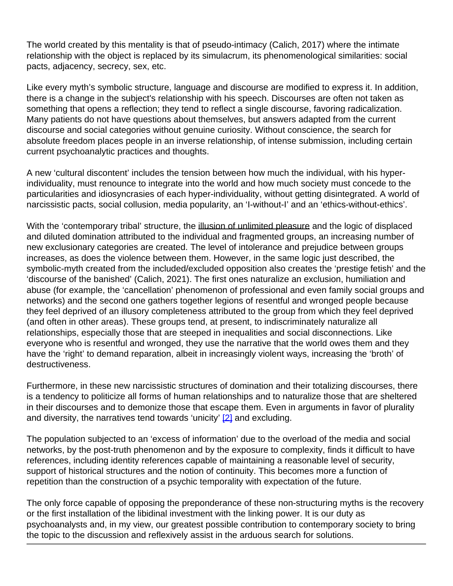The world created by this mentality is that of pseudo-intimacy (Calich, 2017) where the intimate relationship with the object is replaced by its simulacrum, its phenomenological similarities: social pacts, adjacency, secrecy, sex, etc.

Like every myth's symbolic structure, language and discourse are modified to express it. In addition, there is a change in the subject's relationship with his speech. Discourses are often not taken as something that opens a reflection; they tend to reflect a single discourse, favoring radicalization. Many patients do not have questions about themselves, but answers adapted from the current discourse and social categories without genuine curiosity. Without conscience, the search for absolute freedom places people in an inverse relationship, of intense submission, including certain current psychoanalytic practices and thoughts.

A new 'cultural discontent' includes the tension between how much the individual, with his hyperindividuality, must renounce to integrate into the world and how much society must concede to the particularities and idiosyncrasies of each hyper-individuality, without getting disintegrated. A world of narcissistic pacts, social collusion, media popularity, an 'I-without-I' and an 'ethics-without-ethics'.

With the 'contemporary tribal' structure, the illusion of unlimited pleasure and the logic of displaced and diluted domination attributed to the individual and fragmented groups, an increasing number of new exclusionary categories are created. The level of intolerance and prejudice between groups increases, as does the violence between them. However, in the same logic just described, the symbolic-myth created from the included/excluded opposition also creates the 'prestige fetish' and the 'discourse of the banished' (Calich, 2021). The first ones naturalize an exclusion, humiliation and abuse (for example, the 'cancellation' phenomenon of professional and even family social groups and networks) and the second one gathers together legions of resentful and wronged people because they feel deprived of an illusory completeness attributed to the group from which they feel deprived (and often in other areas). These groups tend, at present, to indiscriminately naturalize all relationships, especially those that are steeped in inequalities and social disconnections. Like everyone who is resentful and wronged, they use the narrative that the world owes them and they have the 'right' to demand reparation, albeit in increasingly violent ways, increasing the 'broth' of destructiveness.

Furthermore, in these new narcissistic structures of domination and their totalizing discourses, there is a tendency to politicize all forms of human relationships and to naturalize those that are sheltered in their discourses and to demonize those that escape them. Even in arguments in favor of plurality and diversity, the narratives tend towards 'unicity'  $[2]$  and excluding.

The population subjected to an 'excess of information' due to the overload of the media and social networks, by the post-truth phenomenon and by the exposure to complexity, finds it difficult to have references, including identity references capable of maintaining a reasonable level of security, support of historical structures and the notion of continuity. This becomes more a function of repetition than the construction of a psychic temporality with expectation of the future.

The only force capable of opposing the preponderance of these non-structuring myths is the recovery or the first installation of the libidinal investment with the linking power. It is our duty as psychoanalysts and, in my view, our greatest possible contribution to contemporary society to bring the topic to the discussion and reflexively assist in the arduous search for solutions.